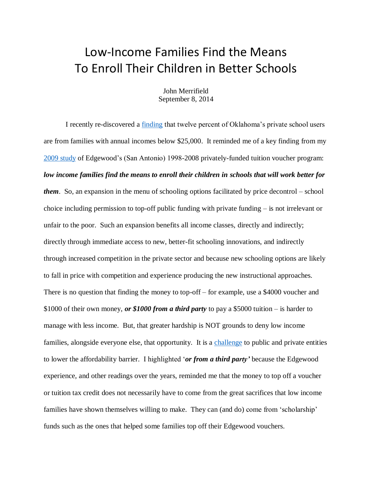## Low-Income Families Find the Means To Enroll Their Children in Better Schools

John Merrifield September 8, 2014

I recently re-discovered a [finding](http://www.edchoice.org/CMSModules/EdChoice/FileLibrary/696/The-Fiscal-Impact-of-Tax-Credit-Scholarships-in-Oklahoma.pdf) that twelve percent of Oklahoma's private school users are from families with annual incomes below \$25,000. It reminded me of a key finding from my [2009 study](http://faculty.business.utsa.edu/jmerrifi/evp.pdf) of Edgewood's (San Antonio) 1998-2008 privately-funded tuition voucher program: *low income families find the means to enroll their children in schools that will work better for them*. So, an expansion in the menu of schooling options facilitated by price decontrol – school choice including permission to top-off public funding with private funding – is not irrelevant or unfair to the poor. Such an expansion benefits all income classes, directly and indirectly; directly through immediate access to new, better-fit schooling innovations, and indirectly through increased competition in the private sector and because new schooling options are likely to fall in price with competition and experience producing the new instructional approaches. There is no question that finding the money to top-off – for example, use a \$4000 voucher and \$1000 of their own money, *or \$1000 from a third party* to pay a \$5000 tuition – is harder to manage with less income. But, that greater hardship is NOT grounds to deny low income families, alongside everyone else, that opportunity. It is a [challenge](http://www.schoolsystemreformstudies.net/wp-content/uploads/2016/12/Equity-Math-for-a-Transformed-System.pdf) to public and private entities to lower the affordability barrier. I highlighted '*or from a third party'* because the Edgewood experience, and other readings over the years, reminded me that the money to top off a voucher or tuition tax credit does not necessarily have to come from the great sacrifices that low income families have shown themselves willing to make. They can (and do) come from 'scholarship' funds such as the ones that helped some families top off their Edgewood vouchers.